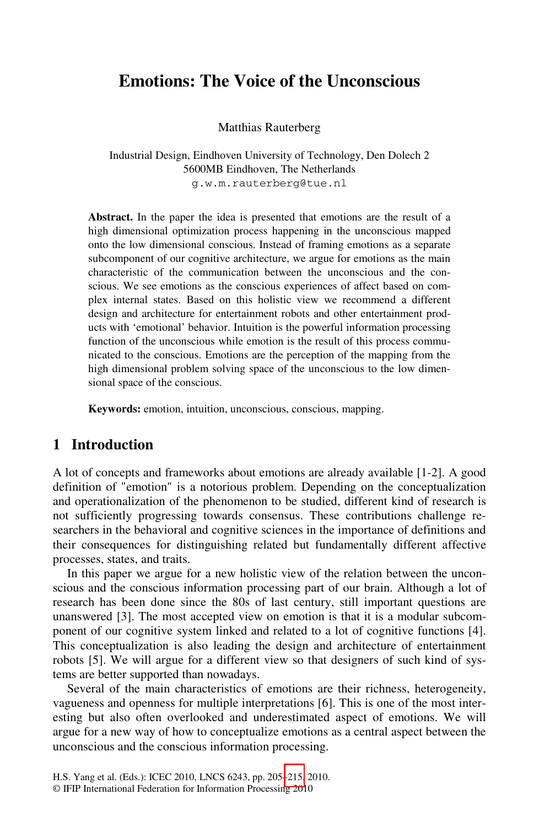# **Emotions: The Voice of the Unconscious**

Matthias Rauterberg

Industrial Design, Eindhoven University of Technology, Den Dolech 2 5600MB Eindhoven, The Netherlands g.w.m.rauterberg@tue.nl

**Abstract.** In the paper the idea is presented that emotions are the result of a high dimensional optimization process happening in the unconscious mapped onto the low dimensional conscious. Instead of framing emotions as a separate subcomponent of our cognitive architecture, we argue for emotions as the main characteristic of the communication between the unconscious and the conscious. We see emotions as the conscious experiences of affect based on complex internal states. Based on this holistic view we recommend a different design and architecture for entertainment robots and other entertainment products with 'emotional' behavior. Intuition is the powerful information processing function of the unconscious while emotion is the result of this process communicated to the conscious. Emotions are the perception of the mapping from the high dimensional problem solving space of the unconscious to the low dimensional space of the conscious.

**Keywords:** emotion, intuition, unconscious, conscious, mapping.

#### **1 Introduction**

A lot of concepts and frameworks about emotions are already available [1-2]. A good definition of "emotion" is a notorious problem. Depending on the conceptualization and operationalization of the phenomenon to be studied, different kind of research is not sufficiently progressing towards consensus. These contributions challenge researchers in the behavioral and cognitive sciences in the importance of definitions and their consequences for distinguishing related but fundamentally different affective processes, states, and traits.

In this paper we argue for a new holistic view of the relation between the unconscious and the conscious information processing part of our brain. Although a lot of research has been done since the 80s of last century, still important questions are unanswered [3]. The most accepted view on emotion is that it is a modular subcomponent of our cognitive system linked and related to a lot of cognitive functions [4]. This conceptualization is also leading the design and architecture of entertainment robots [5]. We will argu[e for](#page-10-0) a different view so that designers of such kind of systems are better supported than nowadays.

Several of the main characteristics of emotions are their richness, heterogeneity, vagueness and openness for multiple interpretations [6]. This is one of the most interesting but also often overlooked and underestimated aspect of emotions. We will argue for a new way of how to conceptualize emotions as a central aspect between the unconscious and the conscious information processing.

H.S. Yang et al. (Eds.): ICEC 2010, LNCS 6243, pp. 205–215, 2010.

<sup>©</sup> IFIP International Federation for Information Processing 2010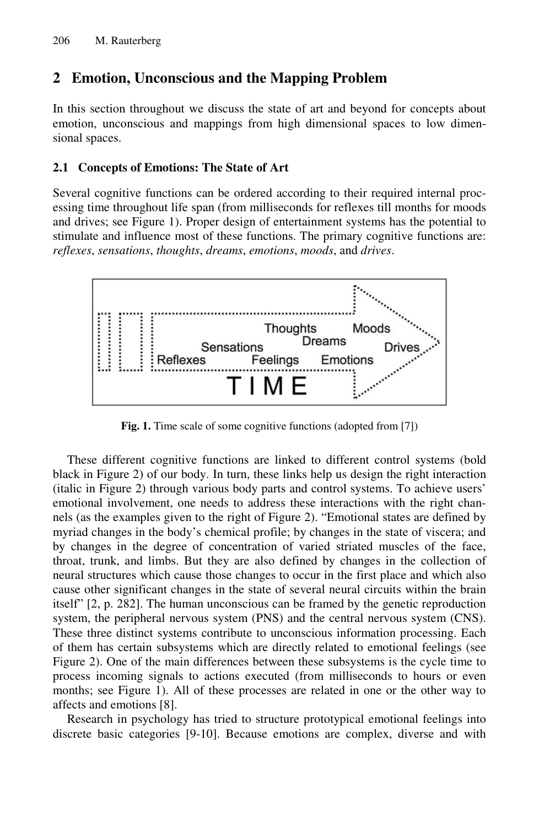## **2 Emotion, Unconscious and the Mapping Problem**

In this section throughout we discuss the state of art and beyond for concepts about emotion, unconscious and mappings from high dimensional spaces to low dimensional spaces.

#### **2.1 Concepts of Emotions: The State of Art**

Several cognitive functions can be ordered according to their required internal processing time throughout life span (from milliseconds for reflexes till months for moods and drives; see Figure 1). Proper design of entertainment systems has the potential to stimulate and influence most of these functions. The primary cognitive functions are: *reflexes*, *sensations*, *thoughts*, *dreams*, *emotions*, *moods*, and *drives*.



**Fig. 1.** Time scale of some cognitive functions (adopted from [7])

These different cognitive functions are linked to different control systems (bold black in Figure 2) of our body. In turn, these links help us design the right interaction (italic in Figure 2) through various body parts and control systems. To achieve users' emotional involvement, one needs to address these interactions with the right channels (as the examples given to the right of Figure 2). "Emotional states are defined by myriad changes in the body's chemical profile; by changes in the state of viscera; and by changes in the degree of concentration of varied striated muscles of the face, throat, trunk, and limbs. But they are also defined by changes in the collection of neural structures which cause those changes to occur in the first place and which also cause other significant changes in the state of several neural circuits within the brain itself" [2, p. 282]. The human unconscious can be framed by the genetic reproduction system, the peripheral nervous system (PNS) and the central nervous system (CNS). These three distinct systems contribute to unconscious information processing. Each of them has certain subsystems which are directly related to emotional feelings (see Figure 2). One of the main differences between these subsystems is the cycle time to process incoming signals to actions executed (from milliseconds to hours or even months; see Figure 1). All of these processes are related in one or the other way to affects and emotions [8].

Research in psychology has tried to structure prototypical emotional feelings into discrete basic categories [9-10]. Because emotions are complex, diverse and with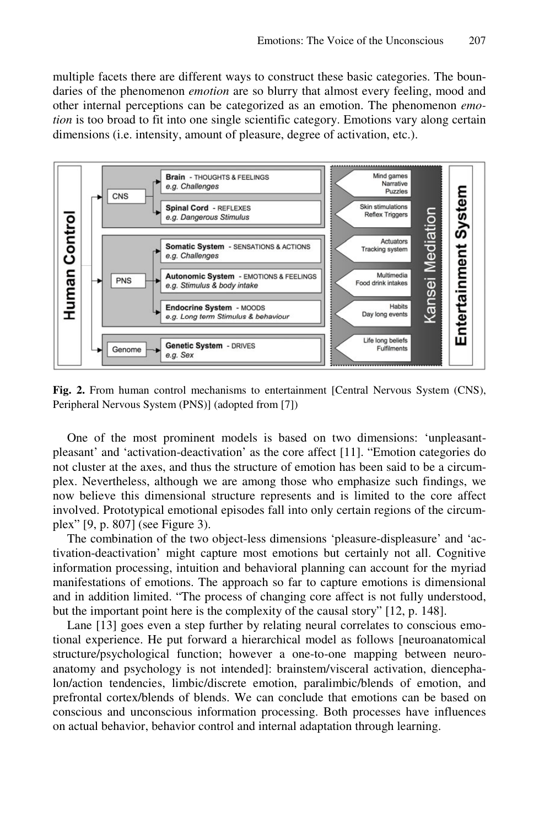multiple facets there are different ways to construct these basic categories. The boundaries of the phenomenon *emotion* are so blurry that almost every feeling, mood and other internal perceptions can be categorized as an emotion. The phenomenon *emotion* is too broad to fit into one single scientific category. Emotions vary along certain dimensions (i.e. intensity, amount of pleasure, degree of activation, etc.).



**Fig. 2.** From human control mechanisms to entertainment [Central Nervous System (CNS), Peripheral Nervous System (PNS)] (adopted from [7])

One of the most prominent models is based on two dimensions: 'unpleasantpleasant' and 'activation-deactivation' as the core affect [11]. "Emotion categories do not cluster at the axes, and thus the structure of emotion has been said to be a circumplex. Nevertheless, although we are among those who emphasize such findings, we now believe this dimensional structure represents and is limited to the core affect involved. Prototypical emotional episodes fall into only certain regions of the circumplex" [9, p. 807] (see Figure 3).

The combination of the two object-less dimensions 'pleasure-displeasure' and 'activation-deactivation' might capture most emotions but certainly not all. Cognitive information processing, intuition and behavioral planning can account for the myriad manifestations of emotions. The approach so far to capture emotions is dimensional and in addition limited. "The process of changing core affect is not fully understood, but the important point here is the complexity of the causal story" [12, p. 148].

Lane [13] goes even a step further by relating neural correlates to conscious emotional experience. He put forward a hierarchical model as follows [neuroanatomical structure/psychological function; however a one-to-one mapping between neuroanatomy and psychology is not intended]: brainstem/visceral activation, diencephalon/action tendencies, limbic/discrete emotion, paralimbic/blends of emotion, and prefrontal cortex/blends of blends. We can conclude that emotions can be based on conscious and unconscious information processing. Both processes have influences on actual behavior, behavior control and internal adaptation through learning.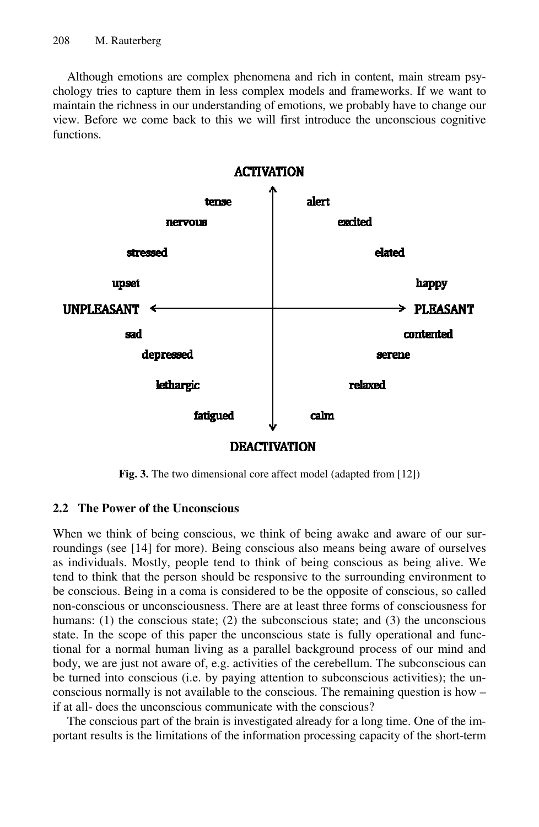Although emotions are complex phenomena and rich in content, main stream psychology tries to capture them in less complex models and frameworks. If we want to maintain the richness in our understanding of emotions, we probably have to change our view. Before we come back to this we will first introduce the unconscious cognitive functions.



**Fig. 3.** The two dimensional core affect model (adapted from [12])

#### **2.2 The Power of the Unconscious**

When we think of being conscious, we think of being awake and aware of our surroundings (see [14] for more). Being conscious also means being aware of ourselves as individuals. Mostly, people tend to think of being conscious as being alive. We tend to think that the person should be responsive to the surrounding environment to be conscious. Being in a coma is considered to be the opposite of conscious, so called non-conscious or unconsciousness. There are at least three forms of consciousness for humans: (1) the conscious state; (2) the subconscious state; and (3) the unconscious state. In the scope of this paper the unconscious state is fully operational and functional for a normal human living as a parallel background process of our mind and body, we are just not aware of, e.g. activities of the cerebellum. The subconscious can be turned into conscious (i.e. by paying attention to subconscious activities); the unconscious normally is not available to the conscious. The remaining question is how – if at all- does the unconscious communicate with the conscious?

The conscious part of the brain is investigated already for a long time. One of the important results is the limitations of the information processing capacity of the short-term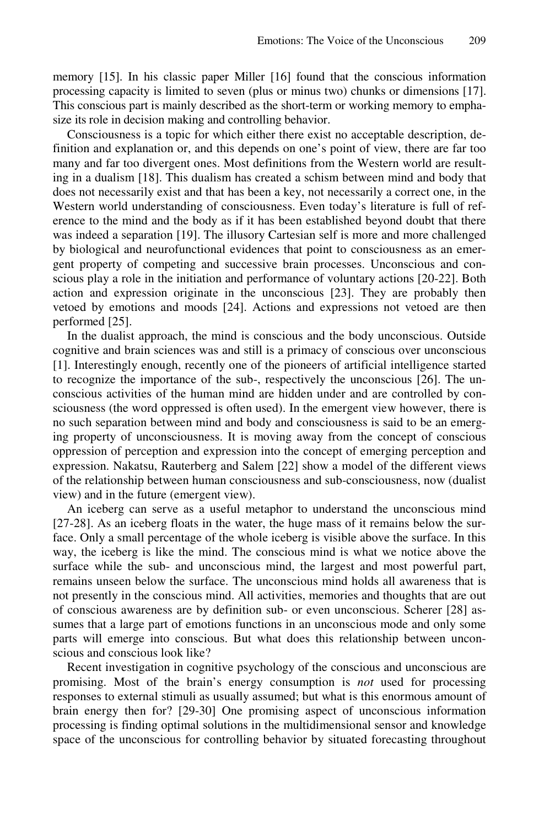memory [15]. In his classic paper Miller [16] found that the conscious information processing capacity is limited to seven (plus or minus two) chunks or dimensions [17]. This conscious part is mainly described as the short-term or working memory to emphasize its role in decision making and controlling behavior.

Consciousness is a topic for which either there exist no acceptable description, definition and explanation or, and this depends on one's point of view, there are far too many and far too divergent ones. Most definitions from the Western world are resulting in a dualism [18]. This dualism has created a schism between mind and body that does not necessarily exist and that has been a key, not necessarily a correct one, in the Western world understanding of consciousness. Even today's literature is full of reference to the mind and the body as if it has been established beyond doubt that there was indeed a separation [19]. The illusory Cartesian self is more and more challenged by biological and neurofunctional evidences that point to consciousness as an emergent property of competing and successive brain processes. Unconscious and conscious play a role in the initiation and performance of voluntary actions [20-22]. Both action and expression originate in the unconscious [23]. They are probably then vetoed by emotions and moods [24]. Actions and expressions not vetoed are then performed [25].

In the dualist approach, the mind is conscious and the body unconscious. Outside cognitive and brain sciences was and still is a primacy of conscious over unconscious [1]. Interestingly enough, recently one of the pioneers of artificial intelligence started to recognize the importance of the sub-, respectively the unconscious [26]. The unconscious activities of the human mind are hidden under and are controlled by consciousness (the word oppressed is often used). In the emergent view however, there is no such separation between mind and body and consciousness is said to be an emerging property of unconsciousness. It is moving away from the concept of conscious oppression of perception and expression into the concept of emerging perception and expression. Nakatsu, Rauterberg and Salem [22] show a model of the different views of the relationship between human consciousness and sub-consciousness, now (dualist view) and in the future (emergent view).

An iceberg can serve as a useful metaphor to understand the unconscious mind [27-28]. As an iceberg floats in the water, the huge mass of it remains below the surface. Only a small percentage of the whole iceberg is visible above the surface. In this way, the iceberg is like the mind. The conscious mind is what we notice above the surface while the sub- and unconscious mind, the largest and most powerful part, remains unseen below the surface. The unconscious mind holds all awareness that is not presently in the conscious mind. All activities, memories and thoughts that are out of conscious awareness are by definition sub- or even unconscious. Scherer [28] assumes that a large part of emotions functions in an unconscious mode and only some parts will emerge into conscious. But what does this relationship between unconscious and conscious look like?

Recent investigation in cognitive psychology of the conscious and unconscious are promising. Most of the brain's energy consumption is *not* used for processing responses to external stimuli as usually assumed; but what is this enormous amount of brain energy then for? [29-30] One promising aspect of unconscious information processing is finding optimal solutions in the multidimensional sensor and knowledge space of the unconscious for controlling behavior by situated forecasting throughout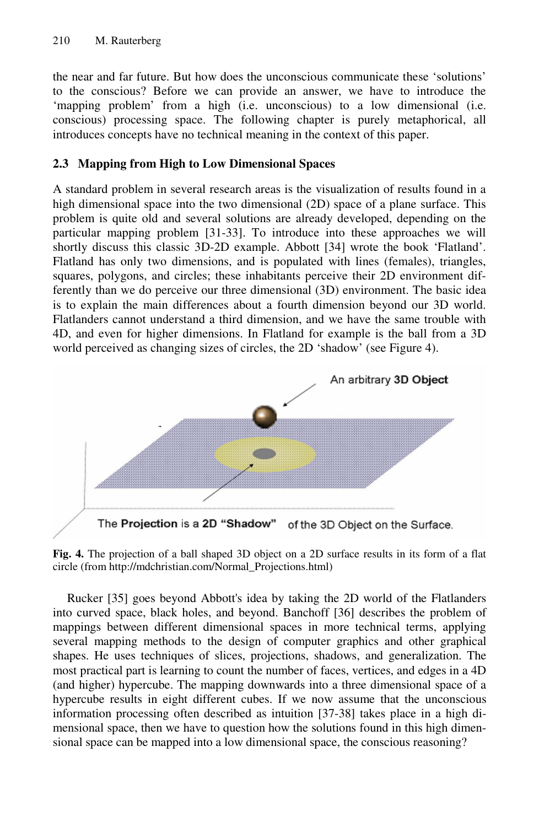the near and far future. But how does the unconscious communicate these 'solutions' to the conscious? Before we can provide an answer, we have to introduce the 'mapping problem' from a high (i.e. unconscious) to a low dimensional (i.e. conscious) processing space. The following chapter is purely metaphorical, all introduces concepts have no technical meaning in the context of this paper.

#### **2.3 Mapping from High to Low Dimensional Spaces**

A standard problem in several research areas is the visualization of results found in a high dimensional space into the two dimensional (2D) space of a plane surface. This problem is quite old and several solutions are already developed, depending on the particular mapping problem [31-33]. To introduce into these approaches we will shortly discuss this classic 3D-2D example. Abbott [34] wrote the book 'Flatland'. Flatland has only two dimensions, and is populated with lines (females), triangles, squares, polygons, and circles; these inhabitants perceive their 2D environment differently than we do perceive our three dimensional (3D) environment. The basic idea is to explain the main differences about a fourth dimension beyond our 3D world. Flatlanders cannot understand a third dimension, and we have the same trouble with 4D, and even for higher dimensions. In Flatland for example is the ball from a 3D world perceived as changing sizes of circles, the 2D 'shadow' (see Figure 4).



**Fig. 4.** The projection of a ball shaped 3D object on a 2D surface results in its form of a flat circle (from http://mdchristian.com/Normal\_Projections.html)

Rucker [35] goes beyond Abbott's idea by taking the 2D world of the Flatlanders into curved space, black holes, and beyond. Banchoff [36] describes the problem of mappings between different dimensional spaces in more technical terms, applying several mapping methods to the design of computer graphics and other graphical shapes. He uses techniques of slices, projections, shadows, and generalization. The most practical part is learning to count the number of faces, vertices, and edges in a 4D (and higher) hypercube. The mapping downwards into a three dimensional space of a hypercube results in eight different cubes. If we now assume that the unconscious information processing often described as intuition [37-38] takes place in a high dimensional space, then we have to question how the solutions found in this high dimensional space can be mapped into a low dimensional space, the conscious reasoning?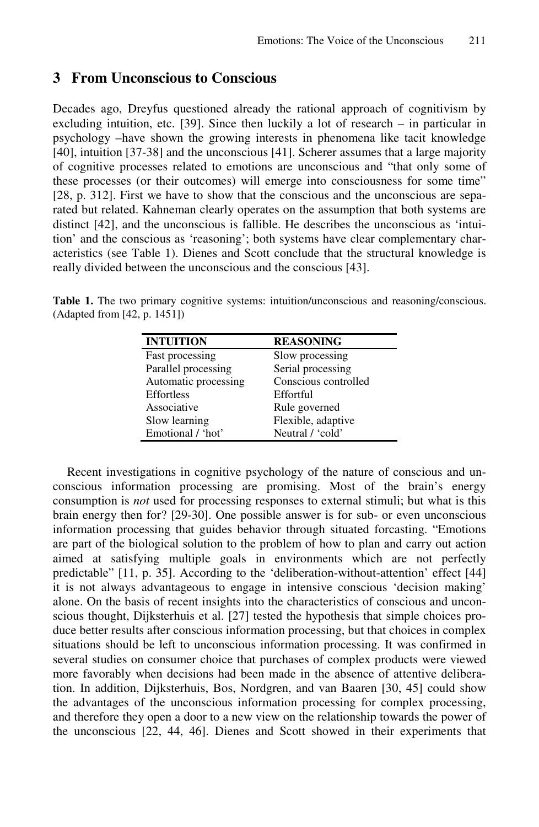### **3 From Unconscious to Conscious**

Decades ago, Dreyfus questioned already the rational approach of cognitivism by excluding intuition, etc. [39]. Since then luckily a lot of research – in particular in psychology –have shown the growing interests in phenomena like tacit knowledge [40], intuition [37-38] and the unconscious [41]. Scherer assumes that a large majority of cognitive processes related to emotions are unconscious and "that only some of these processes (or their outcomes) will emerge into consciousness for some time" [28, p. 312]. First we have to show that the conscious and the unconscious are separated but related. Kahneman clearly operates on the assumption that both systems are distinct [42], and the unconscious is fallible. He describes the unconscious as 'intuition' and the conscious as 'reasoning'; both systems have clear complementary characteristics (see Table 1). Dienes and Scott conclude that the structural knowledge is really divided between the unconscious and the conscious [43].

**Table 1.** The two primary cognitive systems: intuition/unconscious and reasoning/conscious. (Adapted from [42, p. 1451])

| <b>INTUITION</b>     | <b>REASONING</b>     |
|----------------------|----------------------|
| Fast processing      | Slow processing      |
| Parallel processing  | Serial processing    |
| Automatic processing | Conscious controlled |
| Effortless           | Effortful            |
| Associative          | Rule governed        |
| Slow learning        | Flexible, adaptive   |
| Emotional / 'hot'    | Neutral / 'cold'     |

Recent investigations in cognitive psychology of the nature of conscious and unconscious information processing are promising. Most of the brain's energy consumption is *not* used for processing responses to external stimuli; but what is this brain energy then for? [29-30]. One possible answer is for sub- or even unconscious information processing that guides behavior through situated forcasting. "Emotions are part of the biological solution to the problem of how to plan and carry out action aimed at satisfying multiple goals in environments which are not perfectly predictable" [11, p. 35]. According to the 'deliberation-without-attention' effect [44] it is not always advantageous to engage in intensive conscious 'decision making' alone. On the basis of recent insights into the characteristics of conscious and unconscious thought, Dijksterhuis et al. [27] tested the hypothesis that simple choices produce better results after conscious information processing, but that choices in complex situations should be left to unconscious information processing. It was confirmed in several studies on consumer choice that purchases of complex products were viewed more favorably when decisions had been made in the absence of attentive deliberation. In addition, Dijksterhuis, Bos, Nordgren, and van Baaren [30, 45] could show the advantages of the unconscious information processing for complex processing, and therefore they open a door to a new view on the relationship towards the power of the unconscious [22, 44, 46]. Dienes and Scott showed in their experiments that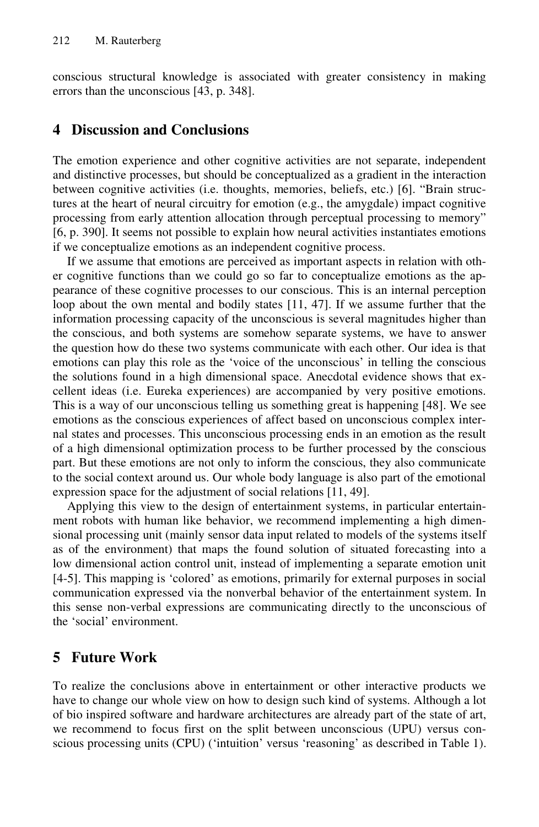conscious structural knowledge is associated with greater consistency in making errors than the unconscious [43, p. 348].

#### **4 Discussion and Conclusions**

The emotion experience and other cognitive activities are not separate, independent and distinctive processes, but should be conceptualized as a gradient in the interaction between cognitive activities (i.e. thoughts, memories, beliefs, etc.) [6]. "Brain structures at the heart of neural circuitry for emotion (e.g., the amygdale) impact cognitive processing from early attention allocation through perceptual processing to memory" [6, p. 390]. It seems not possible to explain how neural activities instantiates emotions if we conceptualize emotions as an independent cognitive process.

If we assume that emotions are perceived as important aspects in relation with other cognitive functions than we could go so far to conceptualize emotions as the appearance of these cognitive processes to our conscious. This is an internal perception loop about the own mental and bodily states [11, 47]. If we assume further that the information processing capacity of the unconscious is several magnitudes higher than the conscious, and both systems are somehow separate systems, we have to answer the question how do these two systems communicate with each other. Our idea is that emotions can play this role as the 'voice of the unconscious' in telling the conscious the solutions found in a high dimensional space. Anecdotal evidence shows that excellent ideas (i.e. Eureka experiences) are accompanied by very positive emotions. This is a way of our unconscious telling us something great is happening [48]. We see emotions as the conscious experiences of affect based on unconscious complex internal states and processes. This unconscious processing ends in an emotion as the result of a high dimensional optimization process to be further processed by the conscious part. But these emotions are not only to inform the conscious, they also communicate to the social context around us. Our whole body language is also part of the emotional expression space for the adjustment of social relations [11, 49].

Applying this view to the design of entertainment systems, in particular entertainment robots with human like behavior, we recommend implementing a high dimensional processing unit (mainly sensor data input related to models of the systems itself as of the environment) that maps the found solution of situated forecasting into a low dimensional action control unit, instead of implementing a separate emotion unit [4-5]. This mapping is 'colored' as emotions, primarily for external purposes in social communication expressed via the nonverbal behavior of the entertainment system. In this sense non-verbal expressions are communicating directly to the unconscious of the 'social' environment.

## **5 Future Work**

To realize the conclusions above in entertainment or other interactive products we have to change our whole view on how to design such kind of systems. Although a lot of bio inspired software and hardware architectures are already part of the state of art, we recommend to focus first on the split between unconscious (UPU) versus conscious processing units (CPU) ('intuition' versus 'reasoning' as described in Table 1).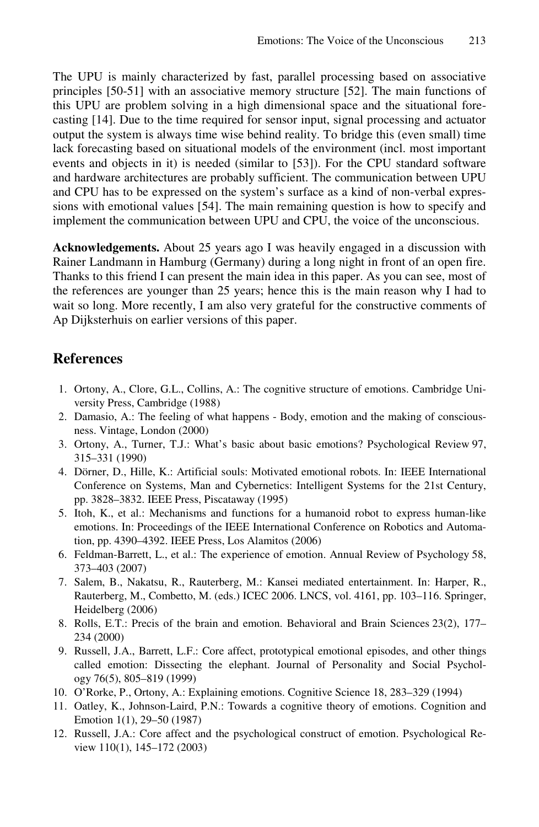The UPU is mainly characterized by fast, parallel processing based on associative principles [50-51] with an associative memory structure [52]. The main functions of this UPU are problem solving in a high dimensional space and the situational forecasting [14]. Due to the time required for sensor input, signal processing and actuator output the system is always time wise behind reality. To bridge this (even small) time lack forecasting based on situational models of the environment (incl. most important events and objects in it) is needed (similar to [53]). For the CPU standard software and hardware architectures are probably sufficient. The communication between UPU and CPU has to be expressed on the system's surface as a kind of non-verbal expressions with emotional values [54]. The main remaining question is how to specify and implement the communication between UPU and CPU, the voice of the unconscious.

**Acknowledgements.** About 25 years ago I was heavily engaged in a discussion with Rainer Landmann in Hamburg (Germany) during a long night in front of an open fire. Thanks to this friend I can present the main idea in this paper. As you can see, most of the references are younger than 25 years; hence this is the main reason why I had to wait so long. More recently, I am also very grateful for the constructive comments of Ap Dijksterhuis on earlier versions of this paper.

## **References**

- 1. Ortony, A., Clore, G.L., Collins, A.: The cognitive structure of emotions. Cambridge University Press, Cambridge (1988)
- 2. Damasio, A.: The feeling of what happens Body, emotion and the making of consciousness. Vintage, London (2000)
- 3. Ortony, A., Turner, T.J.: What's basic about basic emotions? Psychological Review 97, 315–331 (1990)
- 4. Dörner, D., Hille, K.: Artificial souls: Motivated emotional robots. In: IEEE International Conference on Systems, Man and Cybernetics: Intelligent Systems for the 21st Century, pp. 3828–3832. IEEE Press, Piscataway (1995)
- 5. Itoh, K., et al.: Mechanisms and functions for a humanoid robot to express human-like emotions. In: Proceedings of the IEEE International Conference on Robotics and Automation, pp. 4390–4392. IEEE Press, Los Alamitos (2006)
- 6. Feldman-Barrett, L., et al.: The experience of emotion. Annual Review of Psychology 58, 373–403 (2007)
- 7. Salem, B., Nakatsu, R., Rauterberg, M.: Kansei mediated entertainment. In: Harper, R., Rauterberg, M., Combetto, M. (eds.) ICEC 2006. LNCS, vol. 4161, pp. 103–116. Springer, Heidelberg (2006)
- 8. Rolls, E.T.: Precis of the brain and emotion. Behavioral and Brain Sciences 23(2), 177– 234 (2000)
- 9. Russell, J.A., Barrett, L.F.: Core affect, prototypical emotional episodes, and other things called emotion: Dissecting the elephant. Journal of Personality and Social Psychology 76(5), 805–819 (1999)
- 10. O'Rorke, P., Ortony, A.: Explaining emotions. Cognitive Science 18, 283–329 (1994)
- 11. Oatley, K., Johnson-Laird, P.N.: Towards a cognitive theory of emotions. Cognition and Emotion 1(1), 29–50 (1987)
- 12. Russell, J.A.: Core affect and the psychological construct of emotion. Psychological Review 110(1), 145–172 (2003)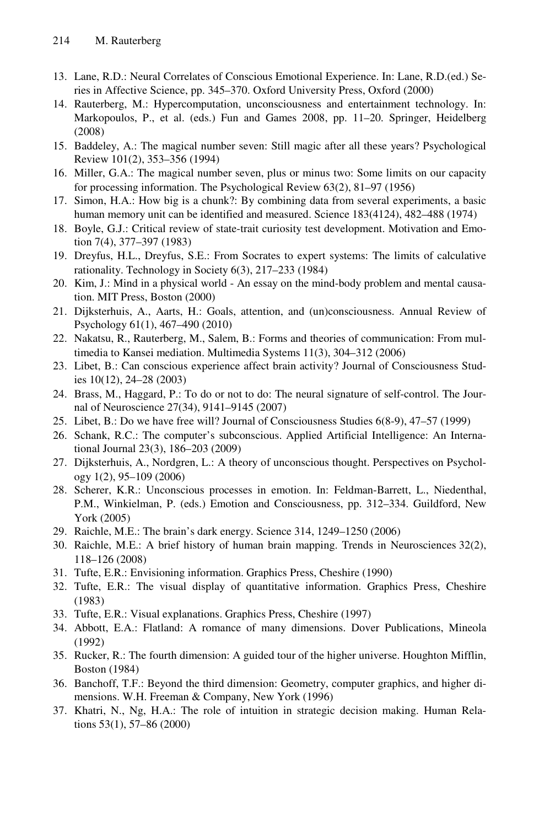- 13. Lane, R.D.: Neural Correlates of Conscious Emotional Experience. In: Lane, R.D.(ed.) Series in Affective Science, pp. 345–370. Oxford University Press, Oxford (2000)
- 14. Rauterberg, M.: Hypercomputation, unconsciousness and entertainment technology. In: Markopoulos, P., et al. (eds.) Fun and Games 2008, pp. 11–20. Springer, Heidelberg (2008)
- 15. Baddeley, A.: The magical number seven: Still magic after all these years? Psychological Review 101(2), 353–356 (1994)
- 16. Miller, G.A.: The magical number seven, plus or minus two: Some limits on our capacity for processing information. The Psychological Review 63(2), 81–97 (1956)
- 17. Simon, H.A.: How big is a chunk?: By combining data from several experiments, a basic human memory unit can be identified and measured. Science 183(4124), 482–488 (1974)
- 18. Boyle, G.J.: Critical review of state-trait curiosity test development. Motivation and Emotion 7(4), 377–397 (1983)
- 19. Dreyfus, H.L., Dreyfus, S.E.: From Socrates to expert systems: The limits of calculative rationality. Technology in Society 6(3), 217–233 (1984)
- 20. Kim, J.: Mind in a physical world An essay on the mind-body problem and mental causation. MIT Press, Boston (2000)
- 21. Dijksterhuis, A., Aarts, H.: Goals, attention, and (un)consciousness. Annual Review of Psychology 61(1), 467–490 (2010)
- 22. Nakatsu, R., Rauterberg, M., Salem, B.: Forms and theories of communication: From multimedia to Kansei mediation. Multimedia Systems 11(3), 304–312 (2006)
- 23. Libet, B.: Can conscious experience affect brain activity? Journal of Consciousness Studies 10(12), 24–28 (2003)
- 24. Brass, M., Haggard, P.: To do or not to do: The neural signature of self-control. The Journal of Neuroscience 27(34), 9141–9145 (2007)
- 25. Libet, B.: Do we have free will? Journal of Consciousness Studies 6(8-9), 47–57 (1999)
- 26. Schank, R.C.: The computer's subconscious. Applied Artificial Intelligence: An International Journal 23(3), 186–203 (2009)
- 27. Dijksterhuis, A., Nordgren, L.: A theory of unconscious thought. Perspectives on Psychology 1(2), 95–109 (2006)
- 28. Scherer, K.R.: Unconscious processes in emotion. In: Feldman-Barrett, L., Niedenthal, P.M., Winkielman, P. (eds.) Emotion and Consciousness, pp. 312–334. Guildford, New York (2005)
- 29. Raichle, M.E.: The brain's dark energy. Science 314, 1249–1250 (2006)
- 30. Raichle, M.E.: A brief history of human brain mapping. Trends in Neurosciences 32(2), 118–126 (2008)
- 31. Tufte, E.R.: Envisioning information. Graphics Press, Cheshire (1990)
- 32. Tufte, E.R.: The visual display of quantitative information. Graphics Press, Cheshire (1983)
- 33. Tufte, E.R.: Visual explanations. Graphics Press, Cheshire (1997)
- 34. Abbott, E.A.: Flatland: A romance of many dimensions. Dover Publications, Mineola (1992)
- 35. Rucker, R.: The fourth dimension: A guided tour of the higher universe. Houghton Mifflin, Boston (1984)
- 36. Banchoff, T.F.: Beyond the third dimension: Geometry, computer graphics, and higher dimensions. W.H. Freeman & Company, New York (1996)
- 37. Khatri, N., Ng, H.A.: The role of intuition in strategic decision making. Human Relations 53(1), 57–86 (2000)